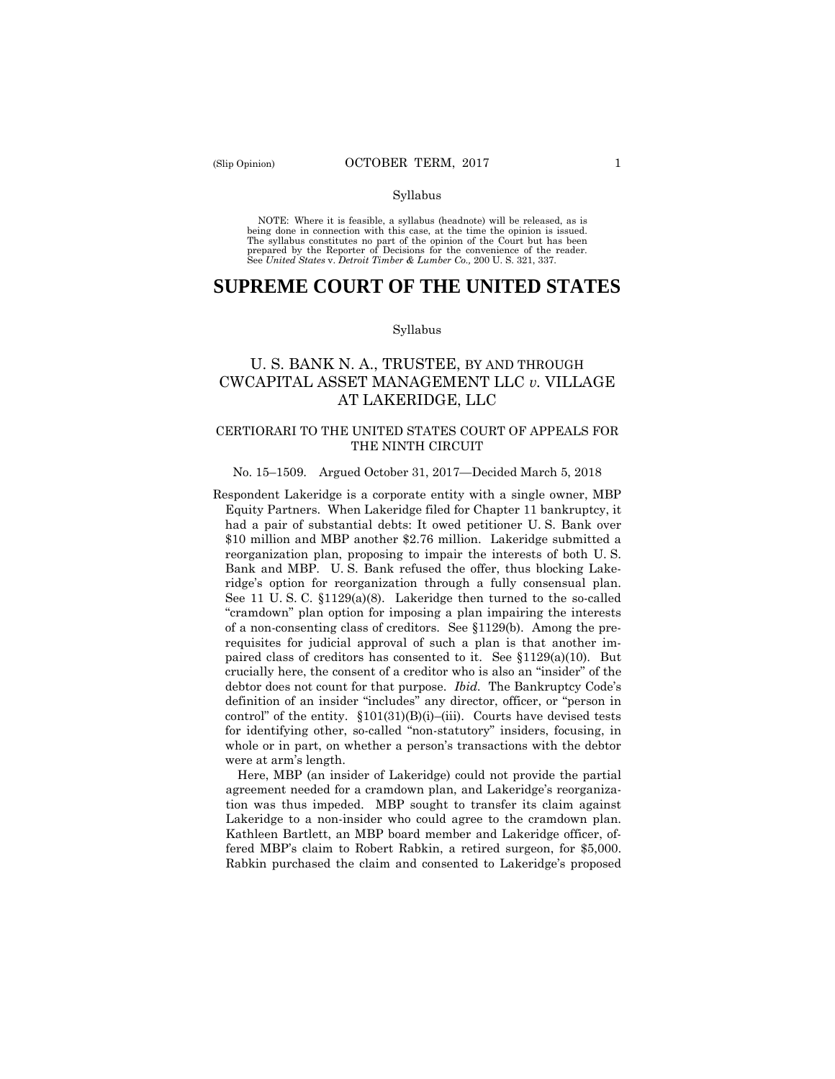#### Syllabus

 NOTE: Where it is feasible, a syllabus (headnote) will be released, as is being done in connection with this case, at the time the opinion is issued. The syllabus constitutes no part of the opinion of the Court but has been<br>prepared by the Reporter of Decisions for the convenience of the reader.<br>See United States v. Detroit Timber & Lumber Co., 200 U. S. 321, 337.

# **SUPREME COURT OF THE UNITED STATES**

#### Syllabus

## U. S. BANK N. A., TRUSTEE, BY AND THROUGH CWCAPITAL ASSET MANAGEMENT LLC *v.* VILLAGE AT LAKERIDGE, LLC

## CERTIORARI TO THE UNITED STATES COURT OF APPEALS FOR THE NINTH CIRCUIT

#### No. 15–1509. Argued October 31, 2017—Decided March 5, 2018

 \$10 million and MBP another \$2.76 million. Lakeridge submitted a Respondent Lakeridge is a corporate entity with a single owner, MBP Equity Partners. When Lakeridge filed for Chapter 11 bankruptcy, it had a pair of substantial debts: It owed petitioner U. S. Bank over reorganization plan, proposing to impair the interests of both U. S. Bank and MBP. U. S. Bank refused the offer, thus blocking Lakeridge's option for reorganization through a fully consensual plan. See 11 U. S. C. §1129(a)(8). Lakeridge then turned to the so-called "cramdown" plan option for imposing a plan impairing the interests of a non-consenting class of creditors. See §1129(b). Among the prerequisites for judicial approval of such a plan is that another impaired class of creditors has consented to it. See §1129(a)(10). But crucially here, the consent of a creditor who is also an "insider" of the debtor does not count for that purpose. *Ibid.* The Bankruptcy Code's definition of an insider "includes" any director, officer, or "person in control" of the entity.  $$101(31)(B)(i)$ –(iii). Courts have devised tests for identifying other, so-called "non-statutory" insiders, focusing, in whole or in part, on whether a person's transactions with the debtor were at arm's length.

Here, MBP (an insider of Lakeridge) could not provide the partial agreement needed for a cramdown plan, and Lakeridge's reorganization was thus impeded. MBP sought to transfer its claim against Lakeridge to a non-insider who could agree to the cramdown plan. Kathleen Bartlett, an MBP board member and Lakeridge officer, offered MBP's claim to Robert Rabkin, a retired surgeon, for \$5,000. Rabkin purchased the claim and consented to Lakeridge's proposed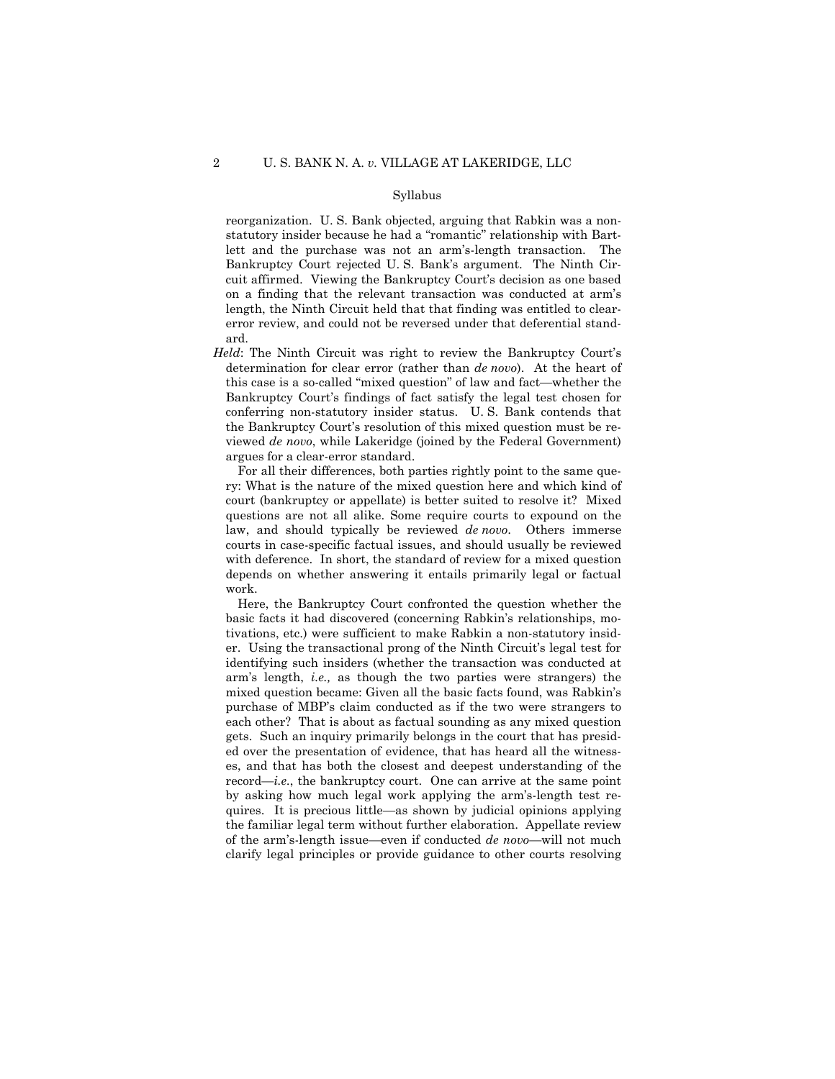#### Syllabus

reorganization. U. S. Bank objected, arguing that Rabkin was a nonstatutory insider because he had a "romantic" relationship with Bartlett and the purchase was not an arm's-length transaction. The Bankruptcy Court rejected U. S. Bank's argument. The Ninth Circuit affirmed. Viewing the Bankruptcy Court's decision as one based on a finding that the relevant transaction was conducted at arm's length, the Ninth Circuit held that that finding was entitled to clearerror review, and could not be reversed under that deferential standard.

*Held*: The Ninth Circuit was right to review the Bankruptcy Court's determination for clear error (rather than *de novo*). At the heart of this case is a so-called "mixed question" of law and fact—whether the Bankruptcy Court's findings of fact satisfy the legal test chosen for conferring non-statutory insider status. U. S. Bank contends that the Bankruptcy Court's resolution of this mixed question must be reviewed *de novo*, while Lakeridge (joined by the Federal Government) argues for a clear-error standard.

For all their differences, both parties rightly point to the same query: What is the nature of the mixed question here and which kind of court (bankruptcy or appellate) is better suited to resolve it? Mixed questions are not all alike. Some require courts to expound on the law, and should typically be reviewed *de novo*. Others immerse courts in case-specific factual issues, and should usually be reviewed with deference. In short, the standard of review for a mixed question depends on whether answering it entails primarily legal or factual work.

Here, the Bankruptcy Court confronted the question whether the basic facts it had discovered (concerning Rabkin's relationships, motivations, etc.) were sufficient to make Rabkin a non-statutory insider. Using the transactional prong of the Ninth Circuit's legal test for identifying such insiders (whether the transaction was conducted at arm's length, *i.e.,* as though the two parties were strangers) the mixed question became: Given all the basic facts found, was Rabkin's purchase of MBP's claim conducted as if the two were strangers to each other? That is about as factual sounding as any mixed question gets. Such an inquiry primarily belongs in the court that has presided over the presentation of evidence, that has heard all the witnesses, and that has both the closest and deepest understanding of the record—*i.e.*, the bankruptcy court. One can arrive at the same point by asking how much legal work applying the arm's-length test requires. It is precious little—as shown by judicial opinions applying the familiar legal term without further elaboration. Appellate review of the arm's-length issue—even if conducted *de novo*—will not much clarify legal principles or provide guidance to other courts resolving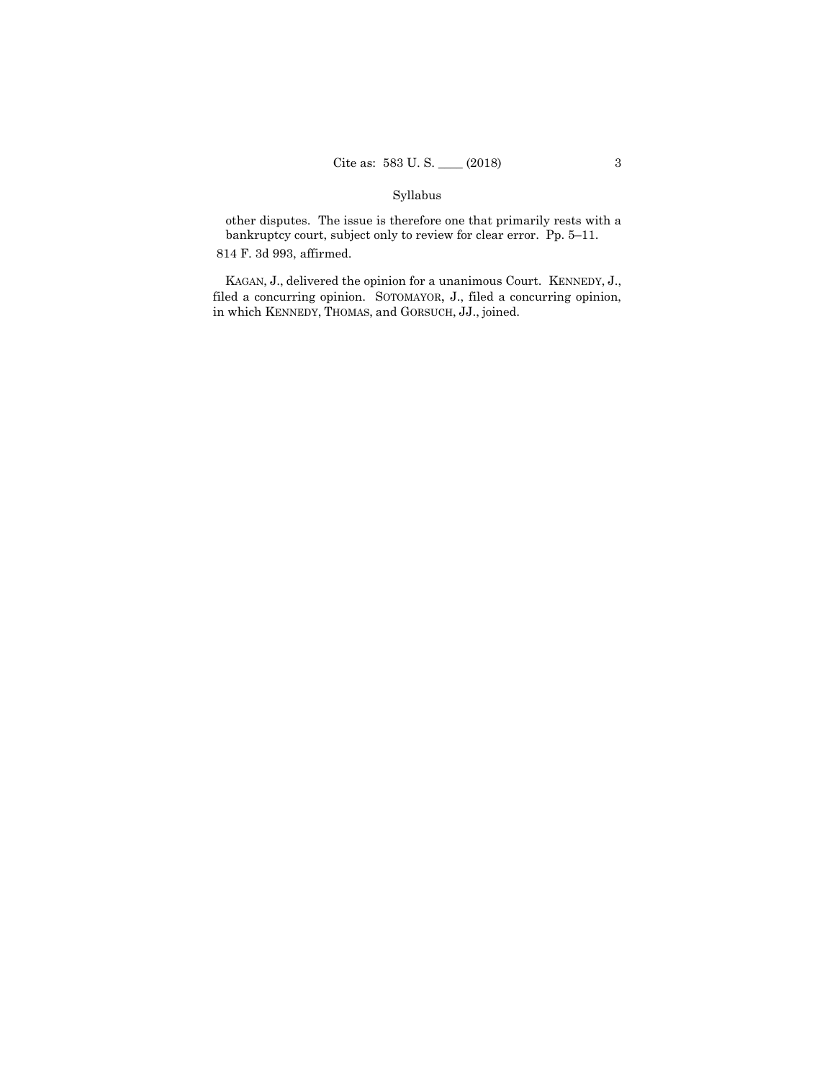## Syllabus

 bankruptcy court, subject only to review for clear error. Pp. 5–11. other disputes. The issue is therefore one that primarily rests with a

814 F. 3d 993, affirmed.

 KAGAN, J., delivered the opinion for a unanimous Court. KENNEDY, J., in which KENNEDY, THOMAS, and GORSUCH, JJ., joined. filed a concurring opinion. SOTOMAYOR, J., filed a concurring opinion,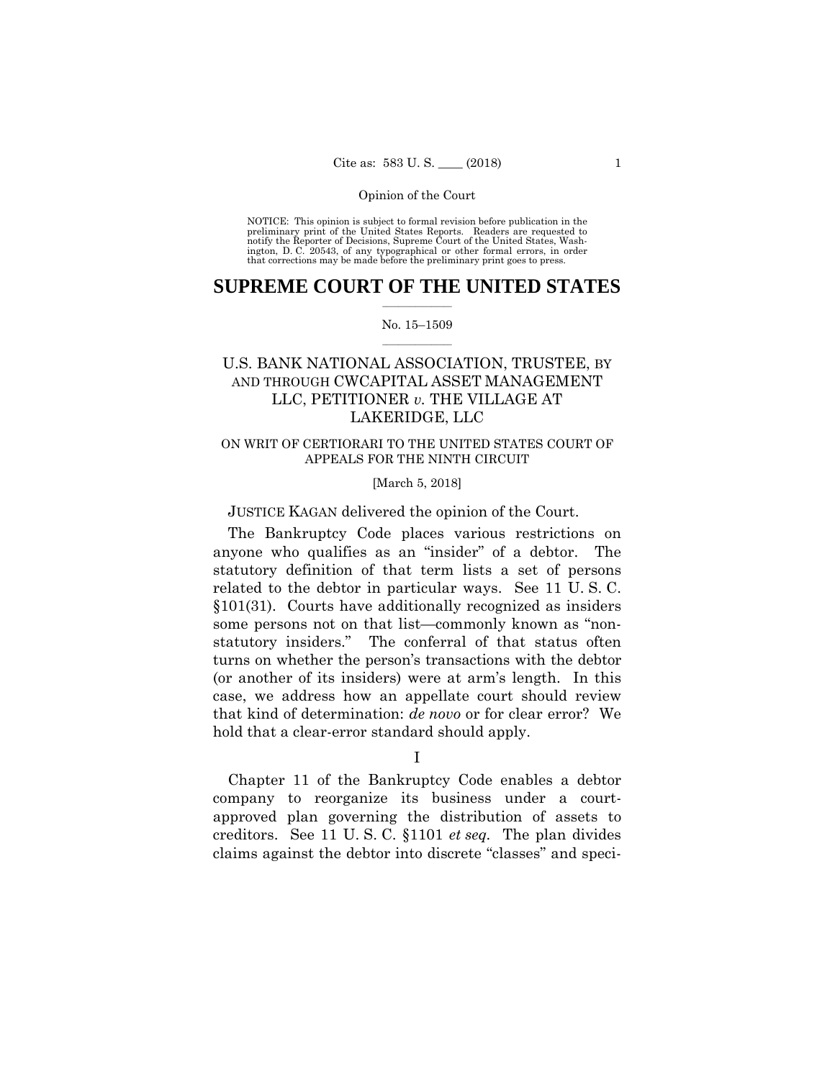preliminary print of the United States Reports. Readers are requested to notify the Reporter of Decisions, Supreme Court of the United States, Wash- ington, D. C. 20543, of any typographical or other formal errors, in order that corrections may be made before the preliminary print goes to press. NOTICE: This opinion is subject to formal revision before publication in the

## $\frac{1}{2}$  ,  $\frac{1}{2}$  ,  $\frac{1}{2}$  ,  $\frac{1}{2}$  ,  $\frac{1}{2}$  ,  $\frac{1}{2}$  ,  $\frac{1}{2}$ **SUPREME COURT OF THE UNITED STATES**

#### $\frac{1}{2}$  ,  $\frac{1}{2}$  ,  $\frac{1}{2}$  ,  $\frac{1}{2}$  ,  $\frac{1}{2}$  ,  $\frac{1}{2}$ No. 15–1509

# AND THROUGH CWCAPITAL ASSET MANAGEMENT U.S. BANK NATIONAL ASSOCIATION, TRUSTEE, BY LLC, PETITIONER *v.* THE VILLAGE AT LAKERIDGE, LLC

## ON WRIT OF CERTIORARI TO THE UNITED STATES COURT OF APPEALS FOR THE NINTH CIRCUIT

### [March 5, 2018]

JUSTICE KAGAN delivered the opinion of the Court.

The Bankruptcy Code places various restrictions on anyone who qualifies as an "insider" of a debtor. The statutory definition of that term lists a set of persons related to the debtor in particular ways. See 11 U. S. C. §101(31). Courts have additionally recognized as insiders some persons not on that list—commonly known as "nonstatutory insiders." The conferral of that status often turns on whether the person's transactions with the debtor (or another of its insiders) were at arm's length. In this case, we address how an appellate court should review that kind of determination: *de novo* or for clear error? We hold that a clear-error standard should apply.

I

Chapter 11 of the Bankruptcy Code enables a debtor company to reorganize its business under a courtapproved plan governing the distribution of assets to creditors. See 11 U. S. C. §1101 *et seq.* The plan divides claims against the debtor into discrete "classes" and speci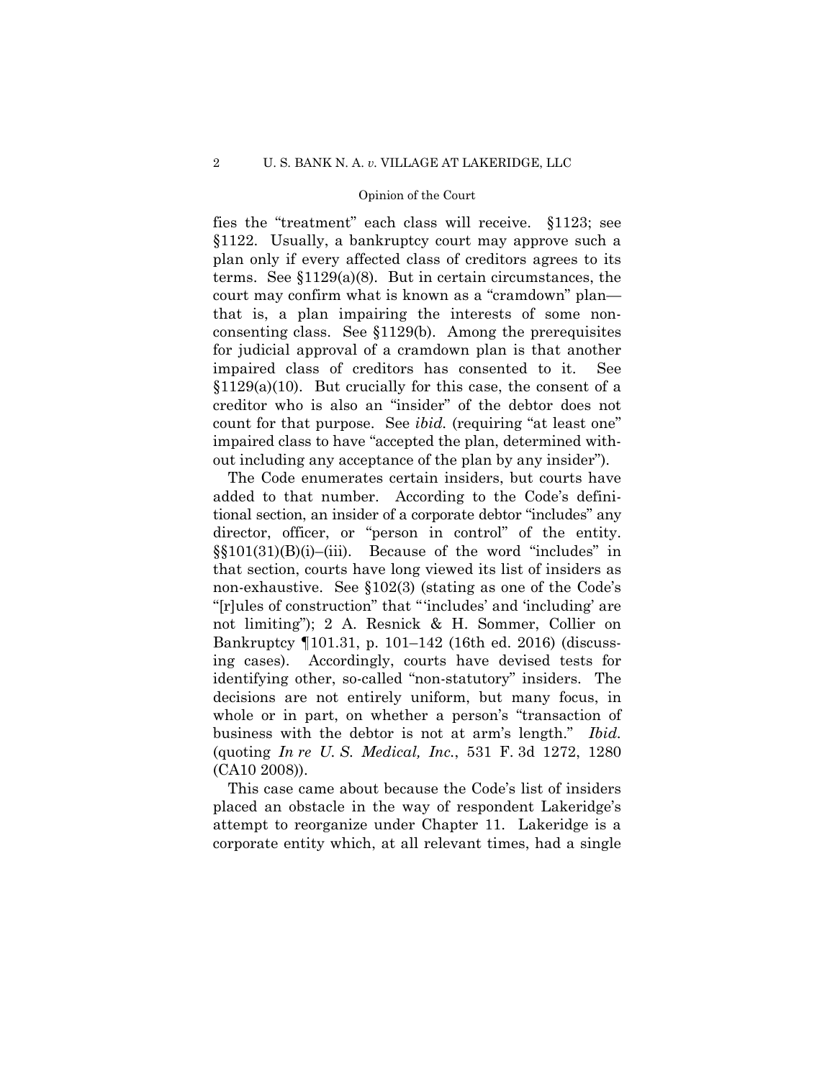fies the "treatment" each class will receive. §1123; see §1122. Usually, a bankruptcy court may approve such a plan only if every affected class of creditors agrees to its terms. See  $$1129(a)(8)$ . But in certain circumstances, the court may confirm what is known as a "cramdown" plan that is, a plan impairing the interests of some nonconsenting class. See §1129(b). Among the prerequisites for judicial approval of a cramdown plan is that another impaired class of creditors has consented to it. See  $$1129(a)(10)$ . But crucially for this case, the consent of a creditor who is also an "insider" of the debtor does not count for that purpose. See *ibid.* (requiring "at least one" impaired class to have "accepted the plan, determined without including any acceptance of the plan by any insider").

 director, officer, or "person in control" of the entity. The Code enumerates certain insiders, but courts have added to that number. According to the Code's definitional section, an insider of a corporate debtor "includes" any  $\S(101(31)(B)(i)$ –(iii). Because of the word "includes" in that section, courts have long viewed its list of insiders as non-exhaustive. See §102(3) (stating as one of the Code's "[r]ules of construction" that "'includes' and 'including' are not limiting"); 2 A. Resnick & H. Sommer, Collier on Bankruptcy ¶101.31, p. 101–142 (16th ed. 2016) (discussing cases). Accordingly, courts have devised tests for identifying other, so-called "non-statutory" insiders. The decisions are not entirely uniform, but many focus, in whole or in part, on whether a person's "transaction of business with the debtor is not at arm's length." *Ibid.*  (quoting *In re U. S. Medical, Inc.*, 531 F. 3d 1272, 1280 (CA10 2008)).

This case came about because the Code's list of insiders placed an obstacle in the way of respondent Lakeridge's attempt to reorganize under Chapter 11. Lakeridge is a corporate entity which, at all relevant times, had a single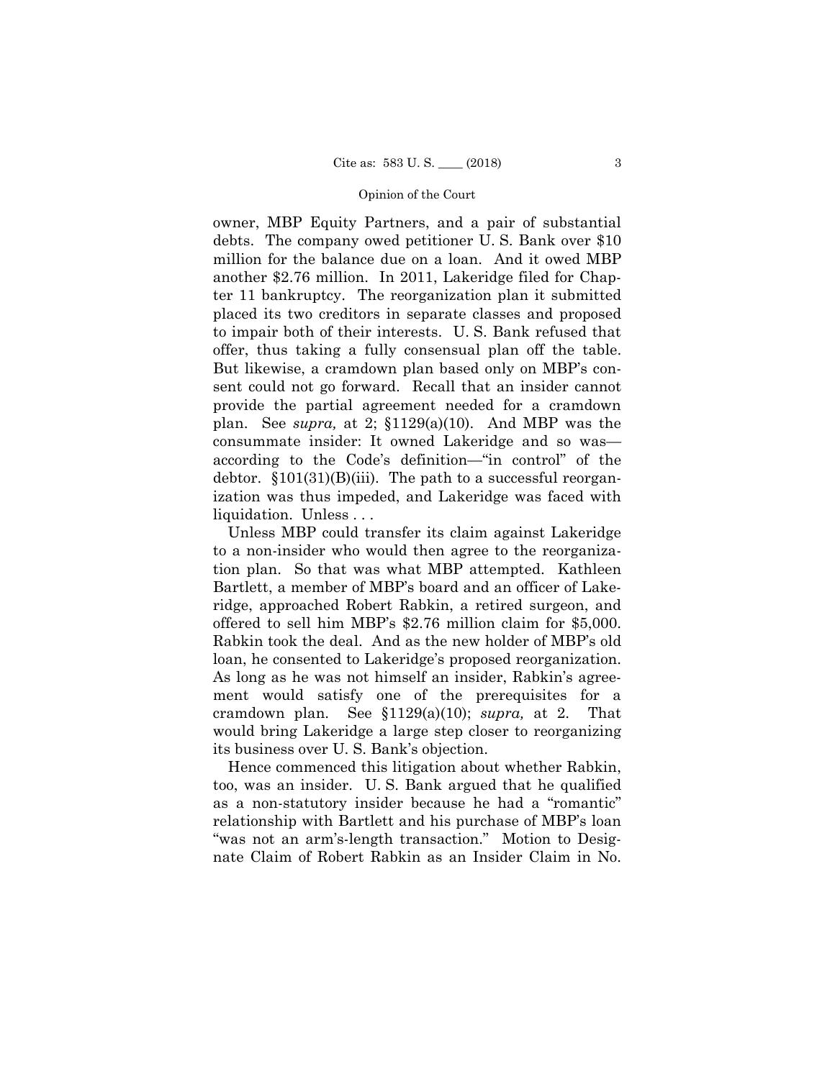owner, MBP Equity Partners, and a pair of substantial debts. The company owed petitioner U. S. Bank over \$10 million for the balance due on a loan. And it owed MBP another \$2.76 million. In 2011, Lakeridge filed for Chapter 11 bankruptcy. The reorganization plan it submitted placed its two creditors in separate classes and proposed to impair both of their interests. U. S. Bank refused that offer, thus taking a fully consensual plan off the table. But likewise, a cramdown plan based only on MBP's consent could not go forward. Recall that an insider cannot provide the partial agreement needed for a cramdown plan. See *supra,* at 2; §1129(a)(10). And MBP was the consummate insider: It owned Lakeridge and so was according to the Code's definition—"in control" of the debtor.  $$101(31)(B)(iii)$ . The path to a successful reorganization was thus impeded, and Lakeridge was faced with liquidation. Unless . . .<br>Unless MBP could transfer its claim against Lakeridge

to a non-insider who would then agree to the reorganization plan. So that was what MBP attempted. Kathleen Bartlett, a member of MBP's board and an officer of Lakeridge, approached Robert Rabkin, a retired surgeon, and offered to sell him MBP's \$2.76 million claim for \$5,000. Rabkin took the deal. And as the new holder of MBP's old loan, he consented to Lakeridge's proposed reorganization. As long as he was not himself an insider, Rabkin's agreement would satisfy one of the prerequisites for a cramdown plan. See §1129(a)(10); *supra,* at 2. That would bring Lakeridge a large step closer to reorganizing its business over U. S. Bank's objection.

Hence commenced this litigation about whether Rabkin, too, was an insider. U. S. Bank argued that he qualified as a non-statutory insider because he had a "romantic" relationship with Bartlett and his purchase of MBP's loan "was not an arm's-length transaction." Motion to Designate Claim of Robert Rabkin as an Insider Claim in No.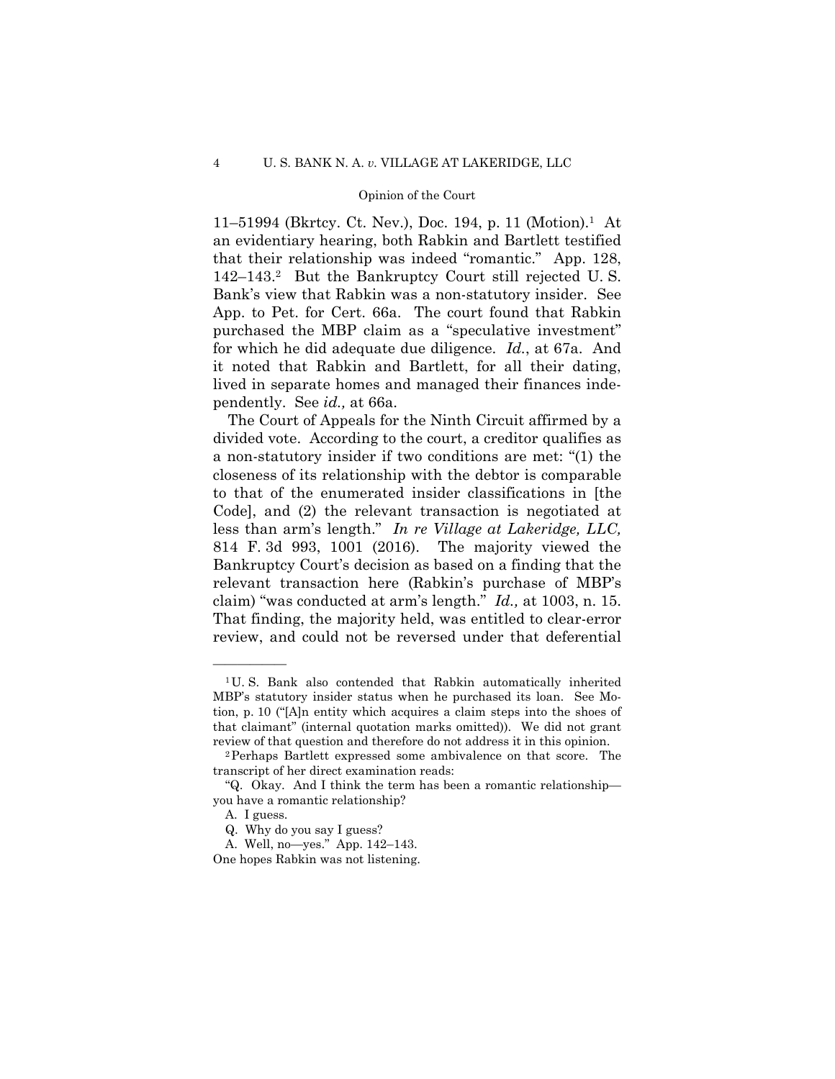142–143.2 But the Bankruptcy Court still rejected U. S.  for which he did adequate due diligence. *Id.*, at 67a. And 11–51994 (Bkrtcy. Ct. Nev.), Doc. 194, p. 11 (Motion).1 At an evidentiary hearing, both Rabkin and Bartlett testified that their relationship was indeed "romantic." App. 128, Bank's view that Rabkin was a non-statutory insider. See App. to Pet. for Cert. 66a. The court found that Rabkin purchased the MBP claim as a "speculative investment" it noted that Rabkin and Bartlett, for all their dating, lived in separate homes and managed their finances independently. See *id.,* at 66a.

The Court of Appeals for the Ninth Circuit affirmed by a divided vote. According to the court, a creditor qualifies as a non-statutory insider if two conditions are met: "(1) the closeness of its relationship with the debtor is comparable to that of the enumerated insider classifications in [the Code], and (2) the relevant transaction is negotiated at less than arm's length." *In re Village at Lakeridge, LLC,* 814 F. 3d 993, 1001 (2016). The majority viewed the Bankruptcy Court's decision as based on a finding that the relevant transaction here (Rabkin's purchase of MBP's claim) "was conducted at arm's length." *Id.,* at 1003, n. 15. That finding, the majority held, was entitled to clear-error review, and could not be reversed under that deferential

<sup>&</sup>lt;sup>1</sup>U. S. Bank also contended that Rabkin automatically inherited MBP's statutory insider status when he purchased its loan. See Motion, p. 10 ("[A]n entity which acquires a claim steps into the shoes of that claimant" (internal quotation marks omitted)). We did not grant

review of that question and therefore do not address it in this opinion. 2Perhaps Bartlett expressed some ambivalence on that score. The transcript of her direct examination reads:

<sup>&</sup>quot;Q. Okay. And I think the term has been a romantic relationship you have a romantic relationship?

A. I guess.

Q. Why do you say I guess?

A. Well, no—yes." App. 142–143.

One hopes Rabkin was not listening.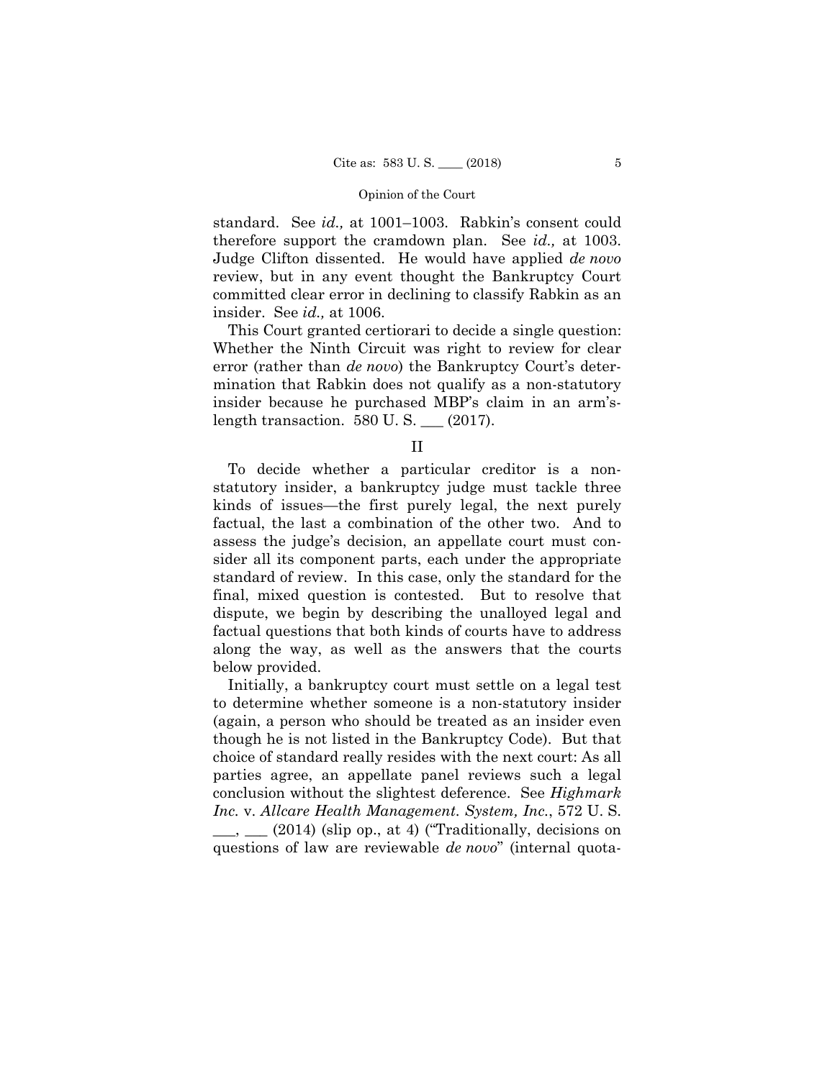review, but in any event thought the Bankruptcy Court standard. See *id.,* at 1001–1003. Rabkin's consent could therefore support the cramdown plan. See *id.,* at 1003. Judge Clifton dissented. He would have applied *de novo*  committed clear error in declining to classify Rabkin as an insider. See *id.,* at 1006.

This Court granted certiorari to decide a single question: Whether the Ninth Circuit was right to review for clear error (rather than *de novo*) the Bankruptcy Court's determination that Rabkin does not qualify as a non-statutory insider because he purchased MBP's claim in an arm'slength transaction. 580 U. S. \_\_\_ (2017).

II

To decide whether a particular creditor is a nonstatutory insider, a bankruptcy judge must tackle three kinds of issues—the first purely legal, the next purely factual, the last a combination of the other two. And to assess the judge's decision, an appellate court must consider all its component parts, each under the appropriate standard of review. In this case, only the standard for the final, mixed question is contested. But to resolve that dispute, we begin by describing the unalloyed legal and factual questions that both kinds of courts have to address along the way, as well as the answers that the courts below provided.

Initially, a bankruptcy court must settle on a legal test to determine whether someone is a non-statutory insider (again, a person who should be treated as an insider even though he is not listed in the Bankruptcy Code). But that choice of standard really resides with the next court: As all parties agree, an appellate panel reviews such a legal conclusion without the slightest deference. See *Highmark Inc.* v. *Allcare Health Management. System, Inc.*, 572 U. S.  $\_\_\_\_$ ,  $\_\_$  (2014) (slip op., at 4) ("Traditionally, decisions on questions of law are reviewable *de novo*" (internal quota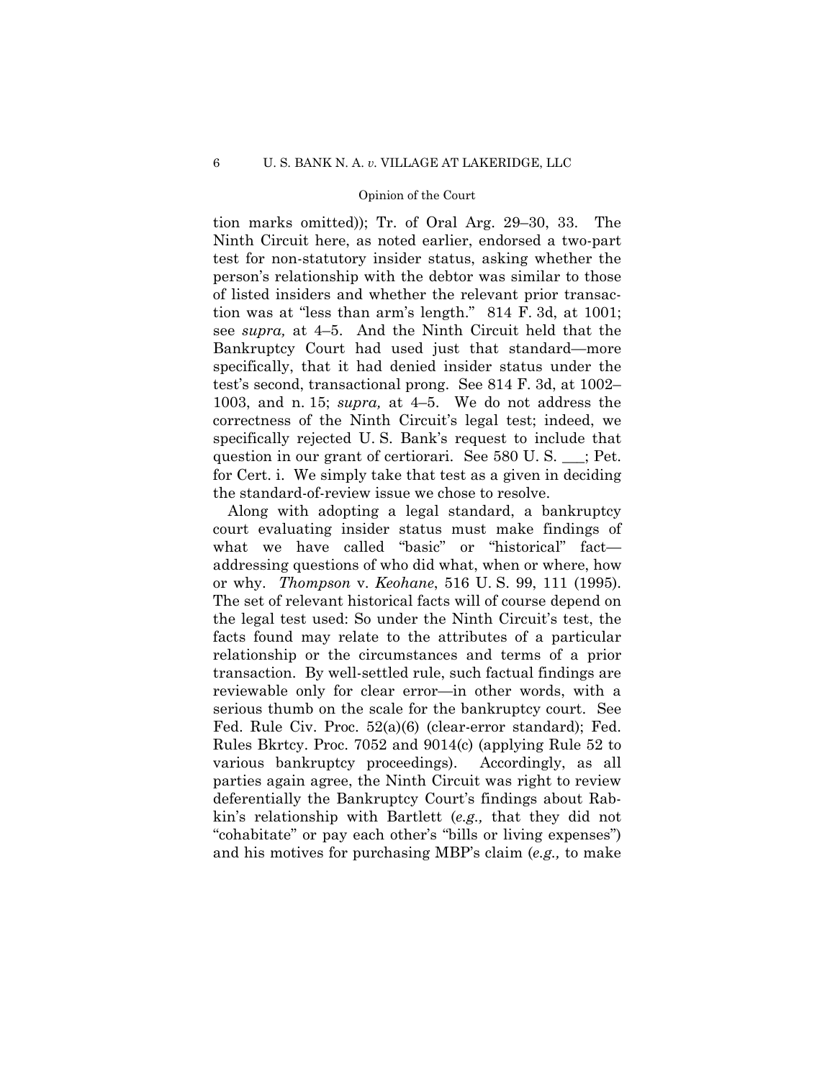tion marks omitted)); Tr. of Oral Arg. 29–30, 33. The Ninth Circuit here, as noted earlier, endorsed a two-part test for non-statutory insider status, asking whether the person's relationship with the debtor was similar to those of listed insiders and whether the relevant prior transaction was at "less than arm's length." 814 F. 3d, at 1001; see *supra,* at 4–5. And the Ninth Circuit held that the Bankruptcy Court had used just that standard—more specifically, that it had denied insider status under the test's second, transactional prong. See 814 F. 3d, at 1002– 1003, and n. 15; *supra,* at 4–5. We do not address the correctness of the Ninth Circuit's legal test; indeed, we specifically rejected U. S. Bank's request to include that question in our grant of certiorari. See 580 U. S. \_\_\_; Pet. for Cert. i. We simply take that test as a given in deciding the standard-of-review issue we chose to resolve.

 reviewable only for clear error—in other words, with a Along with adopting a legal standard, a bankruptcy court evaluating insider status must make findings of what we have called "basic" or "historical" fact addressing questions of who did what, when or where, how or why. *Thompson* v. *Keohane*, 516 U. S. 99, 111 (1995). The set of relevant historical facts will of course depend on the legal test used: So under the Ninth Circuit's test, the facts found may relate to the attributes of a particular relationship or the circumstances and terms of a prior transaction. By well-settled rule, such factual findings are serious thumb on the scale for the bankruptcy court. See Fed. Rule Civ. Proc. 52(a)(6) (clear-error standard); Fed. Rules Bkrtcy. Proc. 7052 and 9014(c) (applying Rule 52 to various bankruptcy proceedings). Accordingly, as all parties again agree, the Ninth Circuit was right to review deferentially the Bankruptcy Court's findings about Rabkin's relationship with Bartlett (*e.g.,* that they did not "cohabitate" or pay each other's "bills or living expenses") and his motives for purchasing MBP's claim (*e.g.,* to make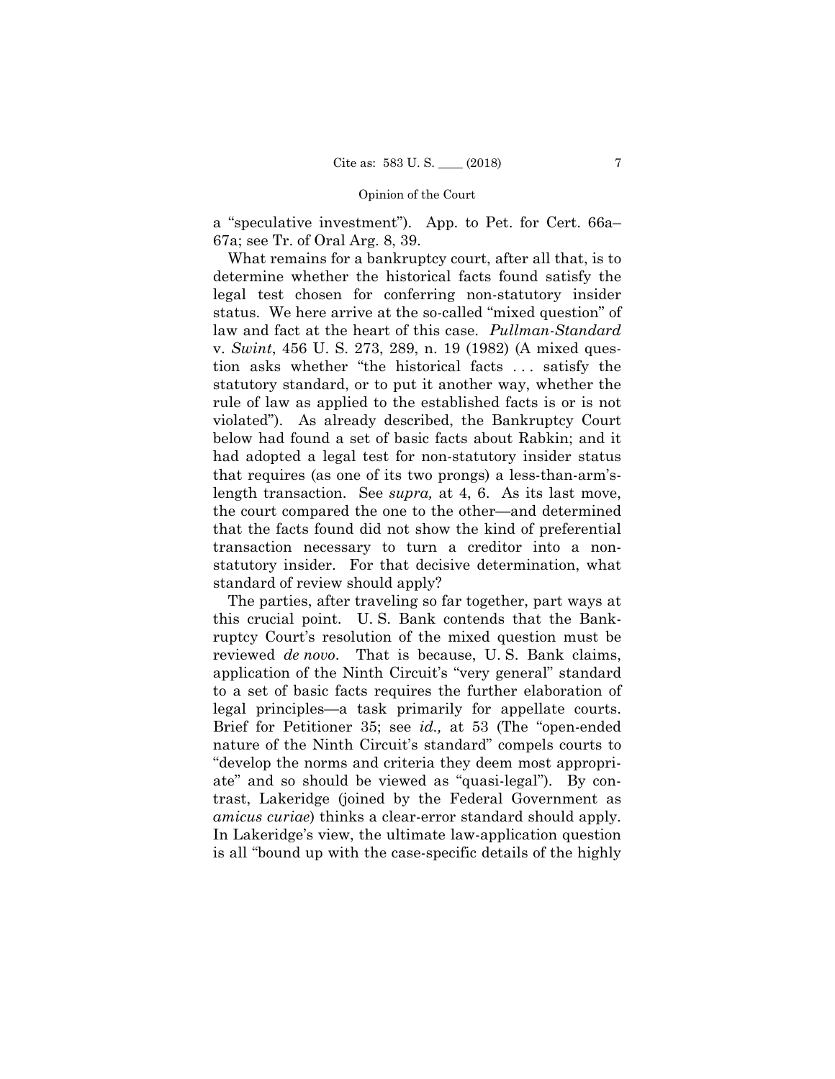a "speculative investment"). App. to Pet. for Cert. 66a– 67a; see Tr. of Oral Arg. 8, 39.

What remains for a bankruptcy court, after all that, is to determine whether the historical facts found satisfy the legal test chosen for conferring non-statutory insider status. We here arrive at the so-called "mixed question" of law and fact at the heart of this case. *Pullman-Standard*  v. *Swint*, 456 U. S. 273, 289, n. 19 (1982) (A mixed question asks whether "the historical facts . . . satisfy the statutory standard, or to put it another way, whether the rule of law as applied to the established facts is or is not violated"). As already described, the Bankruptcy Court below had found a set of basic facts about Rabkin; and it had adopted a legal test for non-statutory insider status that requires (as one of its two prongs) a less-than-arm'slength transaction. See *supra,* at 4, 6. As its last move, the court compared the one to the other—and determined that the facts found did not show the kind of preferential transaction necessary to turn a creditor into a nonstatutory insider. For that decisive determination, what standard of review should apply?

The parties, after traveling so far together, part ways at this crucial point. U. S. Bank contends that the Bankruptcy Court's resolution of the mixed question must be reviewed *de novo*. That is because, U. S. Bank claims, application of the Ninth Circuit's "very general" standard to a set of basic facts requires the further elaboration of legal principles—a task primarily for appellate courts. Brief for Petitioner 35; see *id.,* at 53 (The "open-ended nature of the Ninth Circuit's standard" compels courts to "develop the norms and criteria they deem most appropriate" and so should be viewed as "quasi-legal"). By contrast, Lakeridge (joined by the Federal Government as *amicus curiae*) thinks a clear-error standard should apply. In Lakeridge's view, the ultimate law-application question is all "bound up with the case-specific details of the highly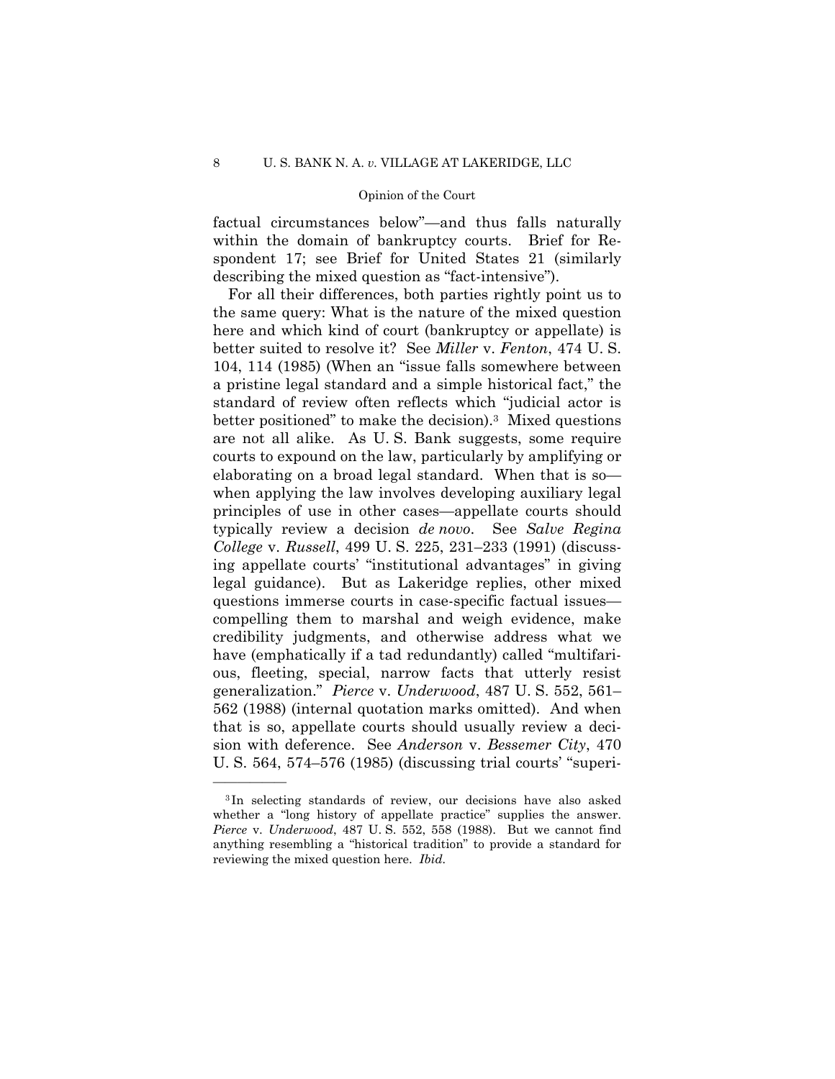factual circumstances below"—and thus falls naturally within the domain of bankruptcy courts. Brief for Respondent 17; see Brief for United States 21 (similarly describing the mixed question as "fact-intensive").

For all their differences, both parties rightly point us to the same query: What is the nature of the mixed question here and which kind of court (bankruptcy or appellate) is better suited to resolve it? See *Miller* v. *Fenton*, 474 U. S. 104, 114 (1985) (When an "issue falls somewhere between a pristine legal standard and a simple historical fact," the standard of review often reflects which "judicial actor is better positioned" to make the decision).3 Mixed questions are not all alike. As U. S. Bank suggests, some require courts to expound on the law, particularly by amplifying or elaborating on a broad legal standard. When that is so when applying the law involves developing auxiliary legal principles of use in other cases—appellate courts should typically review a decision *de novo*. See *Salve Regina College* v. *Russell*, 499 U. S. 225, 231–233 (1991) (discussing appellate courts' "institutional advantages" in giving legal guidance). But as Lakeridge replies, other mixed questions immerse courts in case-specific factual issues compelling them to marshal and weigh evidence, make credibility judgments, and otherwise address what we have (emphatically if a tad redundantly) called "multifarious, fleeting, special, narrow facts that utterly resist generalization." *Pierce* v. *Underwood*, 487 U. S. 552, 561– 562 (1988) (internal quotation marks omitted). And when that is so, appellate courts should usually review a decision with deference. See *Anderson* v. *Bessemer City*, 470 U. S. 564, 574–576 (1985) (discussing trial courts' "superi

<sup>3</sup> In selecting standards of review, our decisions have also asked whether a "long history of appellate practice" supplies the answer. *Pierce* v. *Underwood*, 487 U. S. 552, 558 (1988). But we cannot find anything resembling a "historical tradition" to provide a standard for reviewing the mixed question here. *Ibid.*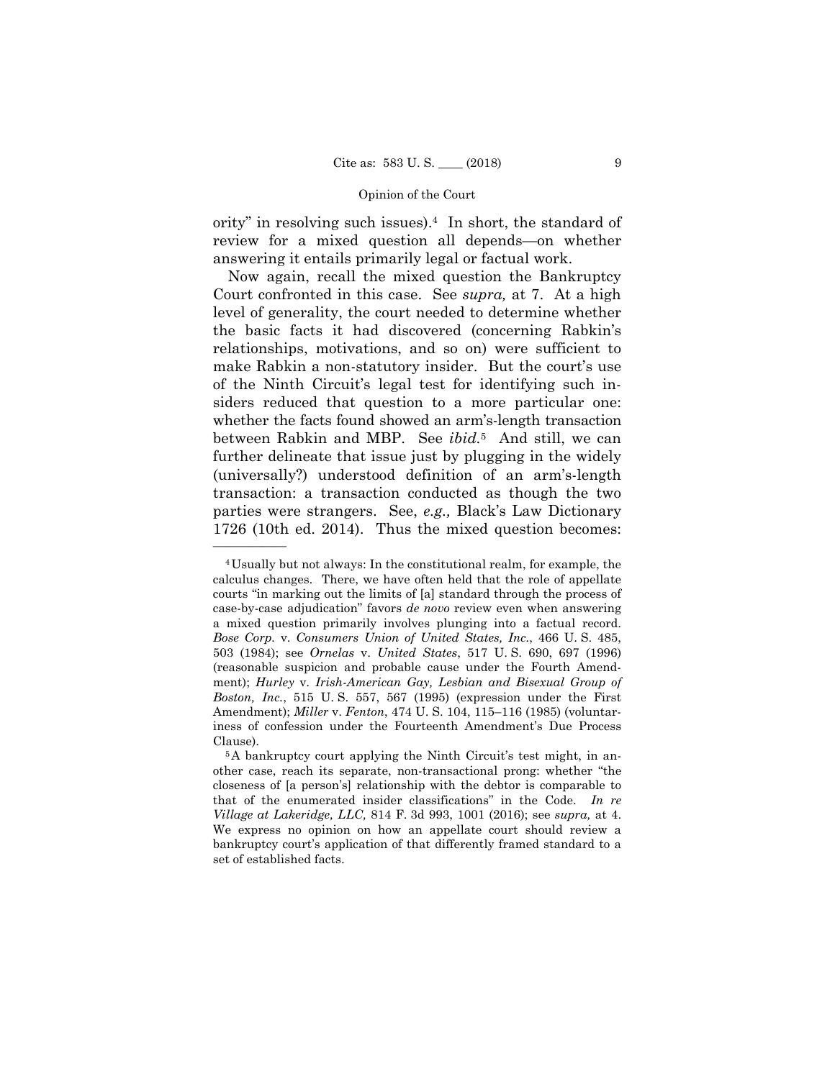ority" in resolving such issues).4 In short, the standard of review for a mixed question all depends—on whether answering it entails primarily legal or factual work.

Now again, recall the mixed question the Bankruptcy Court confronted in this case. See *supra,* at 7. At a high level of generality, the court needed to determine whether the basic facts it had discovered (concerning Rabkin's relationships, motivations, and so on) were sufficient to make Rabkin a non-statutory insider. But the court's use of the Ninth Circuit's legal test for identifying such insiders reduced that question to a more particular one: whether the facts found showed an arm's-length transaction between Rabkin and MBP. See *ibid.*5 And still, we can further delineate that issue just by plugging in the widely (universally?) understood definition of an arm's-length transaction: a transaction conducted as though the two parties were strangers. See, *e.g.,* Black's Law Dictionary 1726 (10th ed. 2014). Thus the mixed question becomes:

<sup>4</sup>Usually but not always: In the constitutional realm, for example, the calculus changes. There, we have often held that the role of appellate courts "in marking out the limits of [a] standard through the process of case-by-case adjudication" favors *de novo* review even when answering a mixed question primarily involves plunging into a factual record. *Bose Corp.* v. *Consumers Union of United States, Inc.*, 466 U. S. 485, 503 (1984); see *Ornelas* v. *United States*, 517 U. S. 690, 697 (1996) (reasonable suspicion and probable cause under the Fourth Amendment); *Hurley* v. *Irish-American Gay, Lesbian and Bisexual Group of Boston, Inc.*, 515 U. S. 557, 567 (1995) (expression under the First Amendment); *Miller* v. *Fenton*, 474 U. S. 104, 115–116 (1985) (voluntariness of confession under the Fourteenth Amendment's Due Process Clause).

 that of the enumerated insider classifications" in the Code. *In re*  5A bankruptcy court applying the Ninth Circuit's test might, in another case, reach its separate, non-transactional prong: whether "the closeness of [a person's] relationship with the debtor is comparable to *Village at Lakeridge, LLC,* 814 F. 3d 993, 1001 (2016); see *supra,* at 4. We express no opinion on how an appellate court should review a bankruptcy court's application of that differently framed standard to a set of established facts.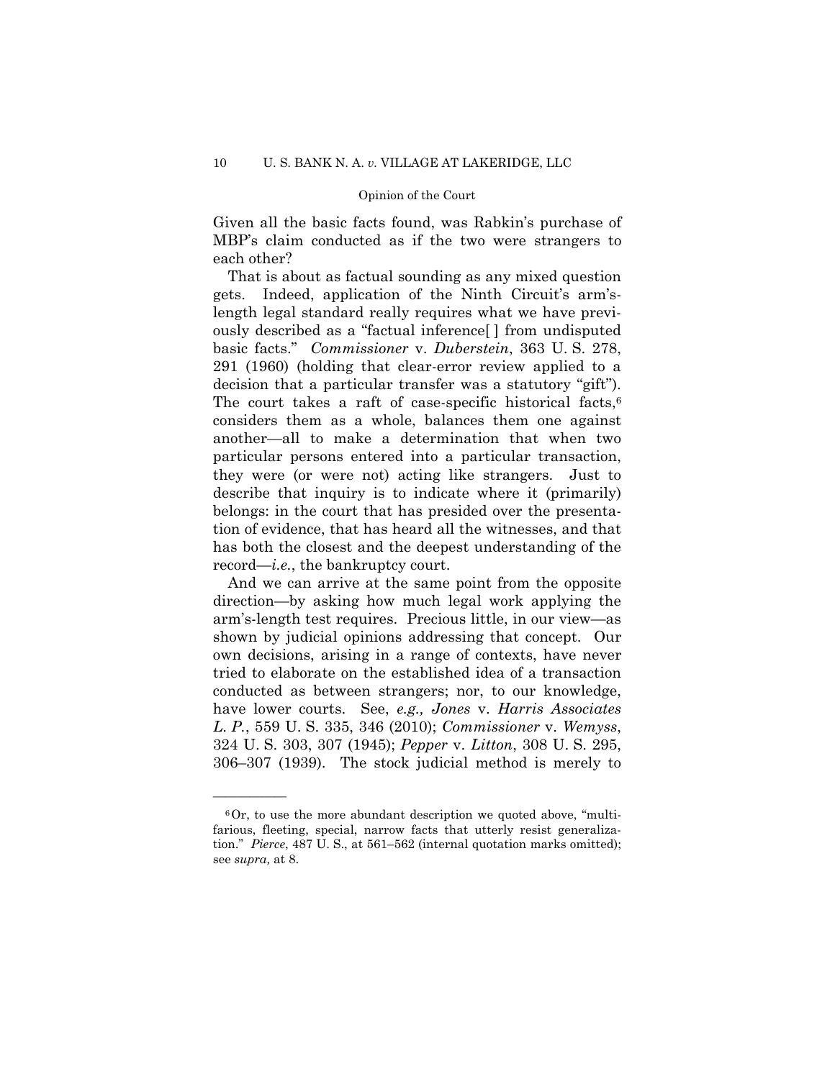Given all the basic facts found, was Rabkin's purchase of MBP's claim conducted as if the two were strangers to each other?

 decision that a particular transfer was a statutory "gift"). That is about as factual sounding as any mixed question gets. Indeed, application of the Ninth Circuit's arm'slength legal standard really requires what we have previously described as a "factual inference[ ] from undisputed basic facts." *Commissioner* v. *Duberstein*, 363 U. S. 278, 291 (1960) (holding that clear-error review applied to a The court takes a raft of case-specific historical facts,  $6\overline{6}$ considers them as a whole, balances them one against another—all to make a determination that when two particular persons entered into a particular transaction, they were (or were not) acting like strangers. Just to describe that inquiry is to indicate where it (primarily) belongs: in the court that has presided over the presentation of evidence, that has heard all the witnesses, and that has both the closest and the deepest understanding of the record—*i.e.*, the bankruptcy court.

And we can arrive at the same point from the opposite direction—by asking how much legal work applying the arm's-length test requires. Precious little, in our view—as shown by judicial opinions addressing that concept. Our own decisions, arising in a range of contexts, have never tried to elaborate on the established idea of a transaction conducted as between strangers; nor, to our knowledge, have lower courts. See, *e.g., Jones* v. *Harris Associates L. P.*, 559 U. S. 335, 346 (2010); *Commissioner* v. *Wemyss*, 324 U. S. 303, 307 (1945); *Pepper* v. *Litton*, 308 U. S. 295, 306–307 (1939). The stock judicial method is merely to

 $60r$ , to use the more abundant description we quoted above, "multifarious, fleeting, special, narrow facts that utterly resist generalization." *Pierce*, 487 U. S., at 561–562 (internal quotation marks omitted); see *supra,* at 8.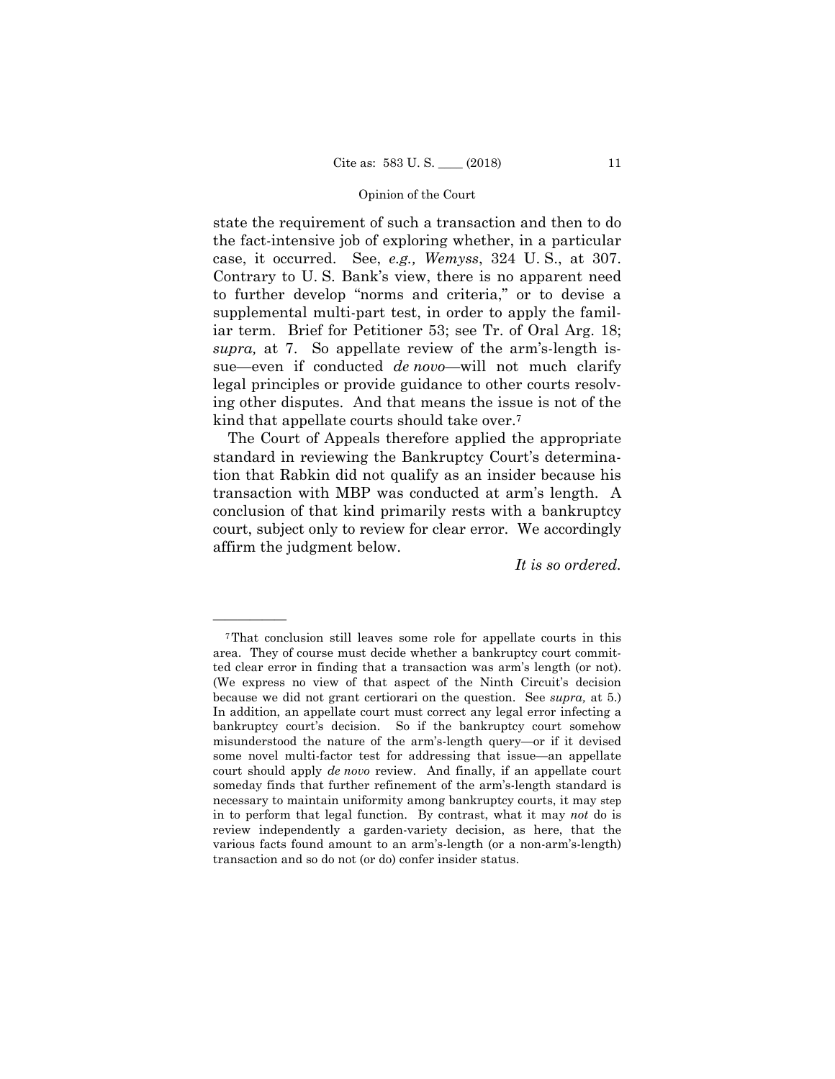state the requirement of such a transaction and then to do the fact-intensive job of exploring whether, in a particular case, it occurred. See, *e.g., Wemyss*, 324 U. S., at 307. Contrary to U. S. Bank's view, there is no apparent need to further develop "norms and criteria," or to devise a supplemental multi-part test, in order to apply the familiar term. Brief for Petitioner 53; see Tr. of Oral Arg. 18; *supra,* at 7. So appellate review of the arm's-length issue—even if conducted *de novo*—will not much clarify legal principles or provide guidance to other courts resolving other disputes. And that means the issue is not of the kind that appellate courts should take over.7

The Court of Appeals therefore applied the appropriate standard in reviewing the Bankruptcy Court's determination that Rabkin did not qualify as an insider because his transaction with MBP was conducted at arm's length. A conclusion of that kind primarily rests with a bankruptcy court, subject only to review for clear error. We accordingly affirm the judgment below.

*It is so ordered.* 

 ted clear error in finding that a transaction was arm's length (or not). 7That conclusion still leaves some role for appellate courts in this area. They of course must decide whether a bankruptcy court commit-(We express no view of that aspect of the Ninth Circuit's decision because we did not grant certiorari on the question. See *supra,* at 5.) In addition, an appellate court must correct any legal error infecting a bankruptcy court's decision. So if the bankruptcy court somehow misunderstood the nature of the arm's-length query—or if it devised some novel multi-factor test for addressing that issue—an appellate court should apply *de novo* review. And finally, if an appellate court someday finds that further refinement of the arm's-length standard is necessary to maintain uniformity among bankruptcy courts, it may step in to perform that legal function. By contrast, what it may *not* do is review independently a garden-variety decision, as here, that the various facts found amount to an arm's-length (or a non-arm's-length) transaction and so do not (or do) confer insider status.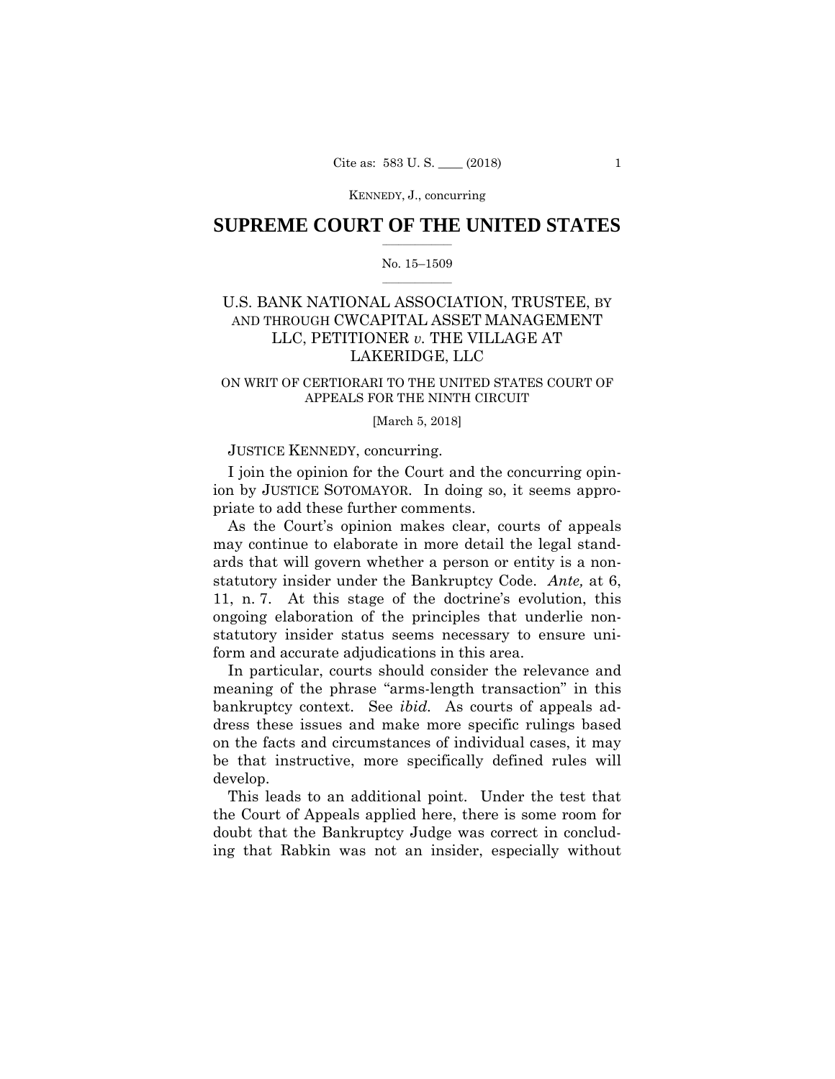KENNEDY, J., concurring

## $\frac{1}{2}$  ,  $\frac{1}{2}$  ,  $\frac{1}{2}$  ,  $\frac{1}{2}$  ,  $\frac{1}{2}$  ,  $\frac{1}{2}$  ,  $\frac{1}{2}$ **SUPREME COURT OF THE UNITED STATES**

#### $\frac{1}{2}$  ,  $\frac{1}{2}$  ,  $\frac{1}{2}$  ,  $\frac{1}{2}$  ,  $\frac{1}{2}$  ,  $\frac{1}{2}$ No. 15–1509

# AND THROUGH CWCAPITAL ASSET MANAGEMENT U.S. BANK NATIONAL ASSOCIATION, TRUSTEE, BY LLC, PETITIONER *v.* THE VILLAGE AT LAKERIDGE, LLC

## ON WRIT OF CERTIORARI TO THE UNITED STATES COURT OF APPEALS FOR THE NINTH CIRCUIT

#### [March 5, 2018]

## JUSTICE KENNEDY, concurring.

I join the opinion for the Court and the concurring opinion by JUSTICE SOTOMAYOR. In doing so, it seems appropriate to add these further comments.

 statutory insider under the Bankruptcy Code. *Ante,* at 6, As the Court's opinion makes clear, courts of appeals may continue to elaborate in more detail the legal standards that will govern whether a person or entity is a non-11, n. 7. At this stage of the doctrine's evolution, this ongoing elaboration of the principles that underlie nonstatutory insider status seems necessary to ensure uniform and accurate adjudications in this area.

In particular, courts should consider the relevance and meaning of the phrase "arms-length transaction" in this bankruptcy context. See *ibid.* As courts of appeals address these issues and make more specific rulings based on the facts and circumstances of individual cases, it may be that instructive, more specifically defined rules will develop.

This leads to an additional point. Under the test that the Court of Appeals applied here, there is some room for doubt that the Bankruptcy Judge was correct in concluding that Rabkin was not an insider, especially without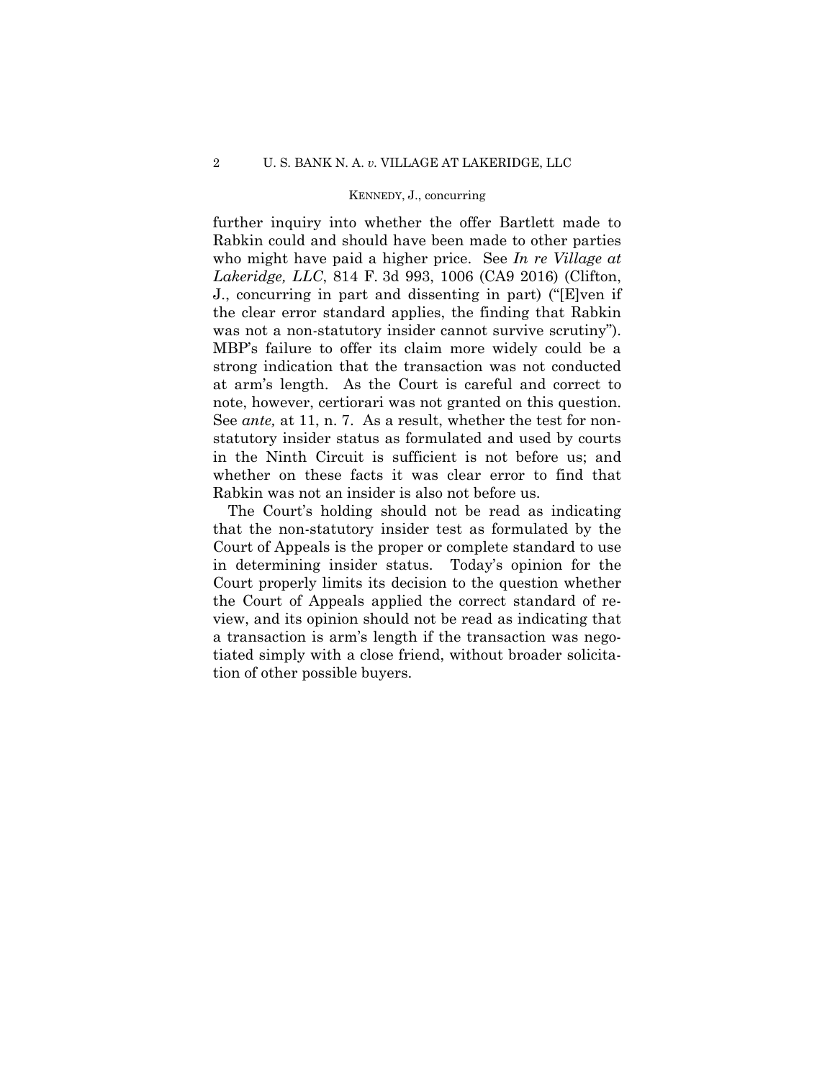## KENNEDY, J., concurring

further inquiry into whether the offer Bartlett made to Rabkin could and should have been made to other parties who might have paid a higher price. See *In re Village at Lakeridge, LLC*, 814 F. 3d 993, 1006 (CA9 2016) (Clifton, J., concurring in part and dissenting in part) ("[E]ven if the clear error standard applies, the finding that Rabkin was not a non-statutory insider cannot survive scrutiny"). MBP's failure to offer its claim more widely could be a strong indication that the transaction was not conducted at arm's length. As the Court is careful and correct to note, however, certiorari was not granted on this question. See *ante,* at 11, n. 7. As a result, whether the test for nonstatutory insider status as formulated and used by courts in the Ninth Circuit is sufficient is not before us; and whether on these facts it was clear error to find that Rabkin was not an insider is also not before us.

The Court's holding should not be read as indicating that the non-statutory insider test as formulated by the Court of Appeals is the proper or complete standard to use in determining insider status. Today's opinion for the Court properly limits its decision to the question whether the Court of Appeals applied the correct standard of review, and its opinion should not be read as indicating that a transaction is arm's length if the transaction was negotiated simply with a close friend, without broader solicitation of other possible buyers.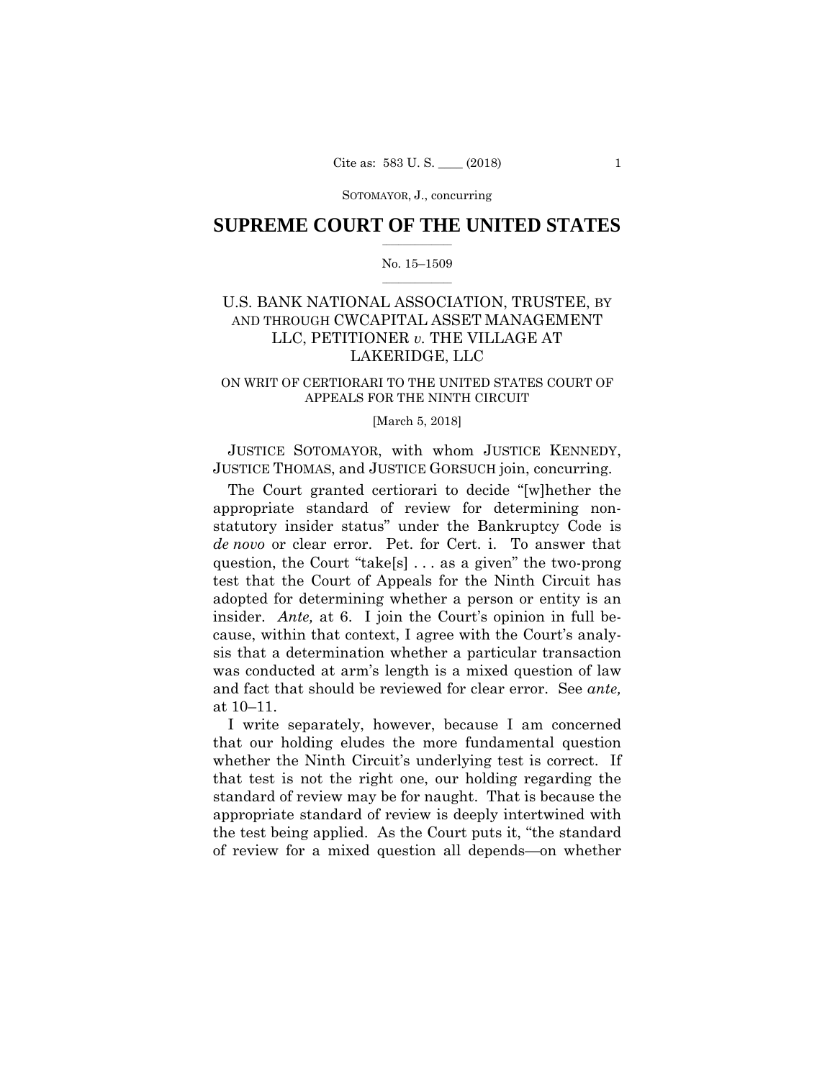## $\frac{1}{2}$  ,  $\frac{1}{2}$  ,  $\frac{1}{2}$  ,  $\frac{1}{2}$  ,  $\frac{1}{2}$  ,  $\frac{1}{2}$  ,  $\frac{1}{2}$ **SUPREME COURT OF THE UNITED STATES**

#### $\frac{1}{2}$  ,  $\frac{1}{2}$  ,  $\frac{1}{2}$  ,  $\frac{1}{2}$  ,  $\frac{1}{2}$  ,  $\frac{1}{2}$ No. 15–1509

# AND THROUGH CWCAPITAL ASSET MANAGEMENT U.S. BANK NATIONAL ASSOCIATION, TRUSTEE, BY LLC, PETITIONER *v.* THE VILLAGE AT LAKERIDGE, LLC

## ON WRIT OF CERTIORARI TO THE UNITED STATES COURT OF APPEALS FOR THE NINTH CIRCUIT

#### [March 5, 2018]

JUSTICE SOTOMAYOR, with whom JUSTICE KENNEDY, JUSTICE THOMAS, and JUSTICE GORSUCH join, concurring.

The Court granted certiorari to decide "[w]hether the appropriate standard of review for determining nonstatutory insider status" under the Bankruptcy Code is *de novo* or clear error. Pet. for Cert. i. To answer that question, the Court "take[s] . . . as a given" the two-prong test that the Court of Appeals for the Ninth Circuit has adopted for determining whether a person or entity is an insider. *Ante,* at 6. I join the Court's opinion in full because, within that context, I agree with the Court's analysis that a determination whether a particular transaction was conducted at arm's length is a mixed question of law and fact that should be reviewed for clear error. See *ante,*  at 10–11.

I write separately, however, because I am concerned that our holding eludes the more fundamental question whether the Ninth Circuit's underlying test is correct. If that test is not the right one, our holding regarding the standard of review may be for naught. That is because the appropriate standard of review is deeply intertwined with the test being applied. As the Court puts it, "the standard of review for a mixed question all depends—on whether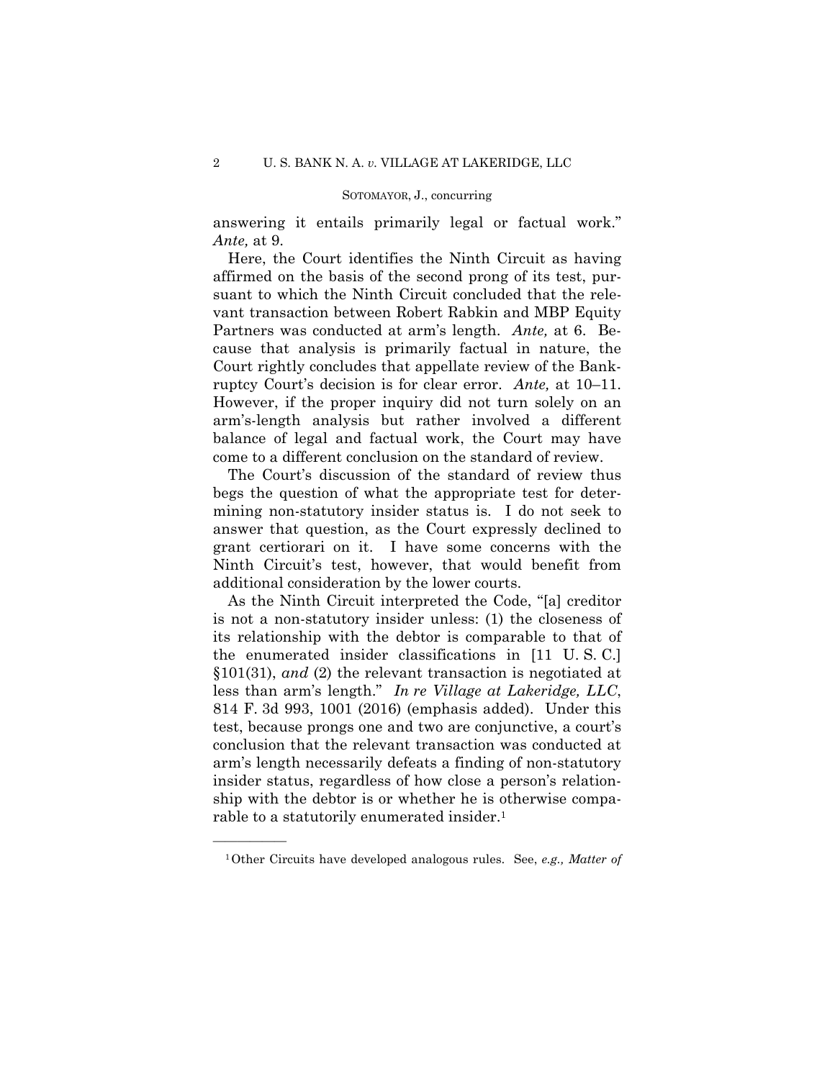answering it entails primarily legal or factual work." *Ante,* at 9.

Here, the Court identifies the Ninth Circuit as having affirmed on the basis of the second prong of its test, pursuant to which the Ninth Circuit concluded that the relevant transaction between Robert Rabkin and MBP Equity Partners was conducted at arm's length. *Ante,* at 6. Because that analysis is primarily factual in nature, the Court rightly concludes that appellate review of the Bankruptcy Court's decision is for clear error. *Ante,* at 10–11. However, if the proper inquiry did not turn solely on an arm's-length analysis but rather involved a different balance of legal and factual work, the Court may have come to a different conclusion on the standard of review.

The Court's discussion of the standard of review thus begs the question of what the appropriate test for determining non-statutory insider status is. I do not seek to answer that question, as the Court expressly declined to grant certiorari on it. I have some concerns with the Ninth Circuit's test, however, that would benefit from additional consideration by the lower courts.

As the Ninth Circuit interpreted the Code, "[a] creditor is not a non-statutory insider unless: (1) the closeness of its relationship with the debtor is comparable to that of the enumerated insider classifications in [11 U. S. C.] §101(31), *and* (2) the relevant transaction is negotiated at less than arm's length." *In re Village at Lakeridge, LLC*, 814 F. 3d 993, 1001 (2016) (emphasis added). Under this test, because prongs one and two are conjunctive, a court's conclusion that the relevant transaction was conducted at arm's length necessarily defeats a finding of non-statutory insider status, regardless of how close a person's relationship with the debtor is or whether he is otherwise comparable to a statutorily enumerated insider.<sup>1</sup>

<sup>1</sup>Other Circuits have developed analogous rules. See, *e.g., Matter of*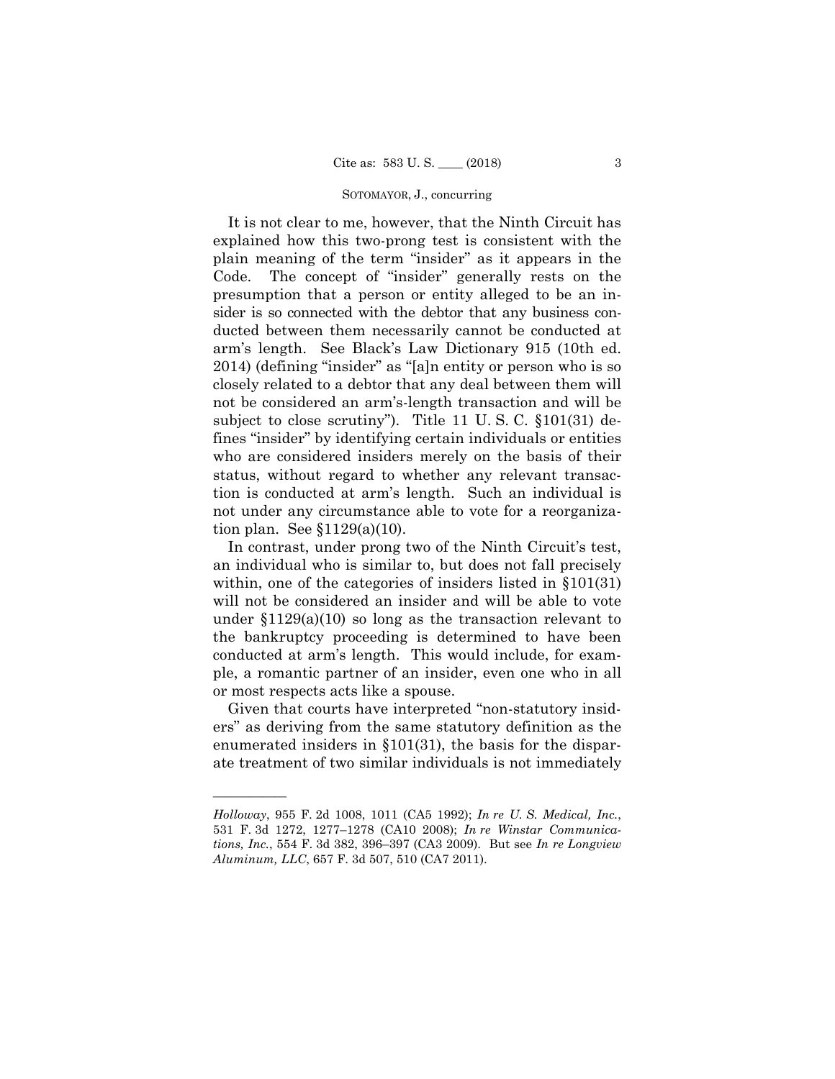It is not clear to me, however, that the Ninth Circuit has explained how this two-prong test is consistent with the plain meaning of the term "insider" as it appears in the Code. The concept of "insider" generally rests on the presumption that a person or entity alleged to be an insider is so connected with the debtor that any business conducted between them necessarily cannot be conducted at arm's length. See Black's Law Dictionary 915 (10th ed. 2014) (defining "insider" as "[a]n entity or person who is so closely related to a debtor that any deal between them will not be considered an arm's-length transaction and will be subject to close scrutiny"). Title 11 U. S. C. §101(31) defines "insider" by identifying certain individuals or entities who are considered insiders merely on the basis of their status, without regard to whether any relevant transaction is conducted at arm's length. Such an individual is not under any circumstance able to vote for a reorganization plan. See §1129(a)(10).

In contrast, under prong two of the Ninth Circuit's test, an individual who is similar to, but does not fall precisely within, one of the categories of insiders listed in §101(31) will not be considered an insider and will be able to vote under §1129(a)(10) so long as the transaction relevant to the bankruptcy proceeding is determined to have been conducted at arm's length. This would include, for example, a romantic partner of an insider, even one who in all or most respects acts like a spouse.

Given that courts have interpreted "non-statutory insiders" as deriving from the same statutory definition as the enumerated insiders in §101(31), the basis for the disparate treatment of two similar individuals is not immediately

*Holloway*, 955 F. 2d 1008, 1011 (CA5 1992); *In re U. S. Medical, Inc.*, 531 F. 3d 1272, 1277–1278 (CA10 2008); *In re Winstar Communications, Inc.*, 554 F. 3d 382, 396–397 (CA3 2009). But see *In re Longview Aluminum, LLC*, 657 F. 3d 507, 510 (CA7 2011).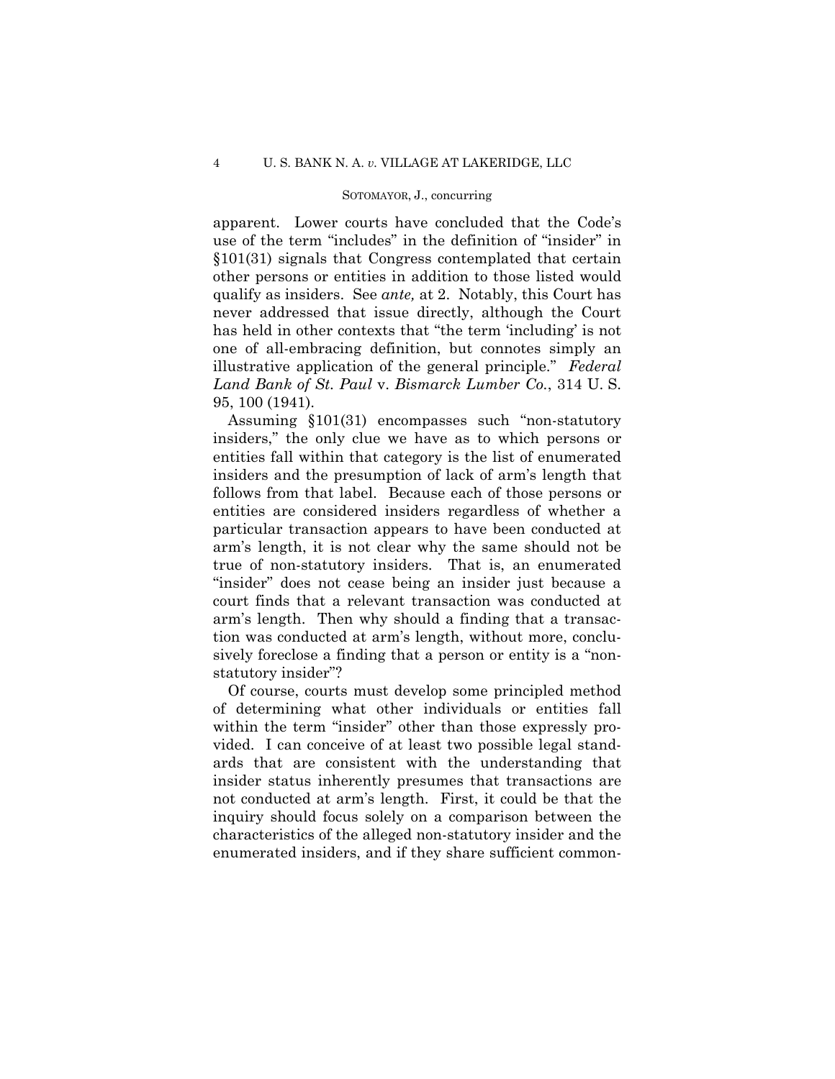apparent. Lower courts have concluded that the Code's use of the term "includes" in the definition of "insider" in §101(31) signals that Congress contemplated that certain other persons or entities in addition to those listed would qualify as insiders. See *ante,* at 2. Notably, this Court has never addressed that issue directly, although the Court has held in other contexts that "the term 'including' is not one of all-embracing definition, but connotes simply an illustrative application of the general principle." *Federal Land Bank of St. Paul* v. *Bismarck Lumber Co.*, 314 U. S. 95, 100 (1941).

Assuming §101(31) encompasses such "non-statutory insiders," the only clue we have as to which persons or entities fall within that category is the list of enumerated insiders and the presumption of lack of arm's length that follows from that label. Because each of those persons or entities are considered insiders regardless of whether a particular transaction appears to have been conducted at arm's length, it is not clear why the same should not be true of non-statutory insiders. That is, an enumerated "insider" does not cease being an insider just because a court finds that a relevant transaction was conducted at arm's length. Then why should a finding that a transaction was conducted at arm's length, without more, conclusively foreclose a finding that a person or entity is a "nonstatutory insider"?

Of course, courts must develop some principled method of determining what other individuals or entities fall within the term "insider" other than those expressly provided. I can conceive of at least two possible legal standards that are consistent with the understanding that insider status inherently presumes that transactions are not conducted at arm's length. First, it could be that the inquiry should focus solely on a comparison between the characteristics of the alleged non-statutory insider and the enumerated insiders, and if they share sufficient common-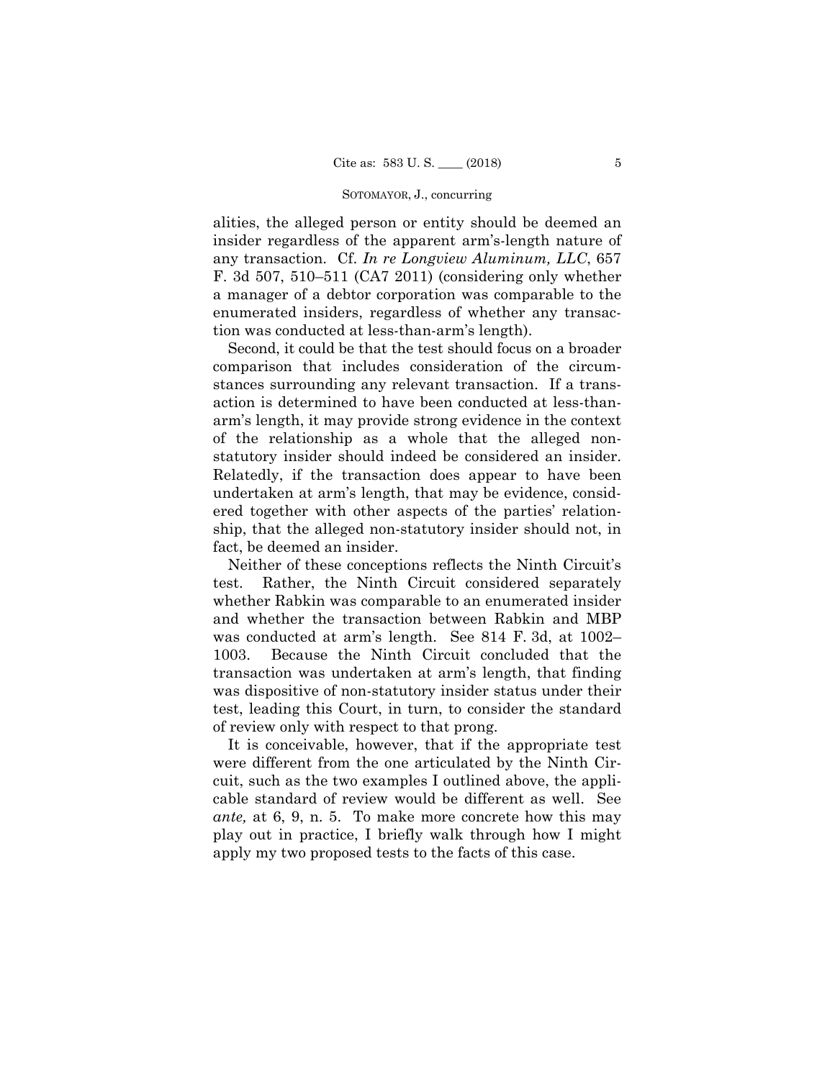alities, the alleged person or entity should be deemed an insider regardless of the apparent arm's-length nature of any transaction. Cf. *In re Longview Aluminum, LLC*, 657 F. 3d 507, 510–511 (CA7 2011) (considering only whether a manager of a debtor corporation was comparable to the enumerated insiders, regardless of whether any transaction was conducted at less-than-arm's length).

Second, it could be that the test should focus on a broader comparison that includes consideration of the circumstances surrounding any relevant transaction. If a transaction is determined to have been conducted at less-thanarm's length, it may provide strong evidence in the context of the relationship as a whole that the alleged nonstatutory insider should indeed be considered an insider. Relatedly, if the transaction does appear to have been undertaken at arm's length, that may be evidence, considered together with other aspects of the parties' relationship, that the alleged non-statutory insider should not, in fact, be deemed an insider.

Neither of these conceptions reflects the Ninth Circuit's test. Rather, the Ninth Circuit considered separately whether Rabkin was comparable to an enumerated insider and whether the transaction between Rabkin and MBP was conducted at arm's length. See 814 F. 3d, at 1002– 1003. Because the Ninth Circuit concluded that the transaction was undertaken at arm's length, that finding was dispositive of non-statutory insider status under their test, leading this Court, in turn, to consider the standard of review only with respect to that prong.

It is conceivable, however, that if the appropriate test were different from the one articulated by the Ninth Circuit, such as the two examples I outlined above, the applicable standard of review would be different as well. See *ante,* at 6, 9, n. 5. To make more concrete how this may play out in practice, I briefly walk through how I might apply my two proposed tests to the facts of this case.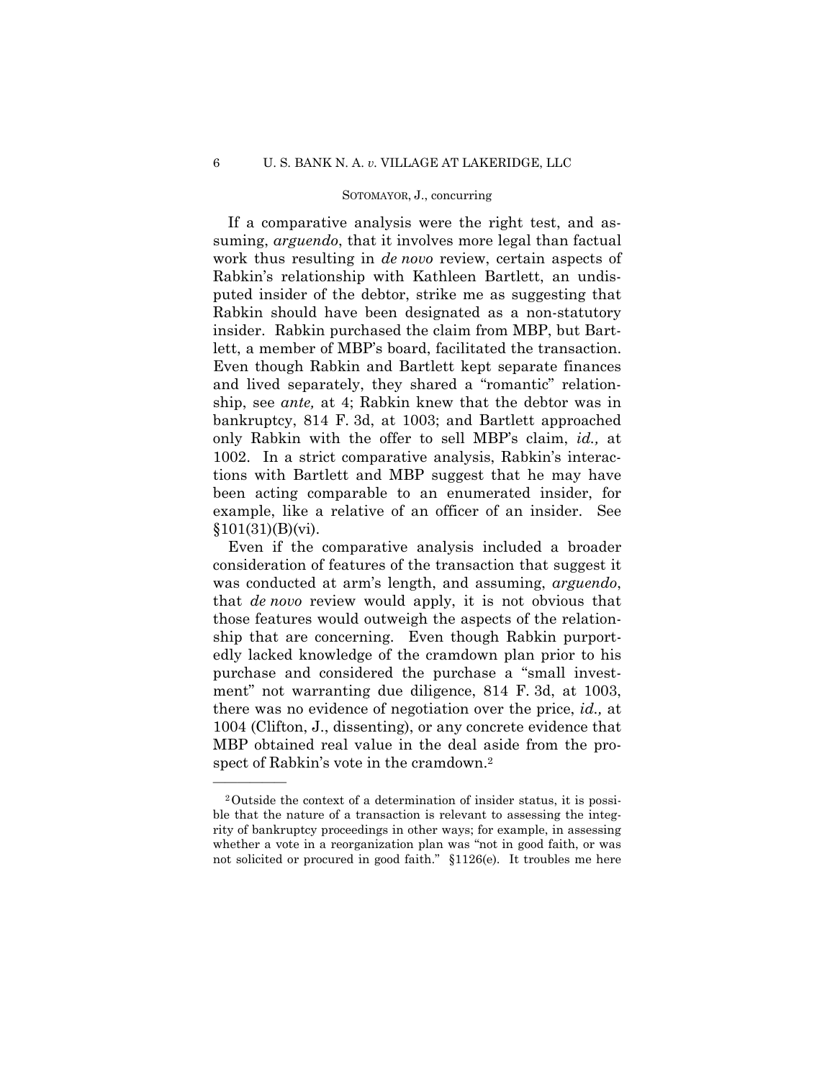If a comparative analysis were the right test, and assuming, *arguendo*, that it involves more legal than factual work thus resulting in *de novo* review, certain aspects of Rabkin's relationship with Kathleen Bartlett, an undisputed insider of the debtor, strike me as suggesting that Rabkin should have been designated as a non-statutory insider. Rabkin purchased the claim from MBP, but Bartlett, a member of MBP's board, facilitated the transaction. Even though Rabkin and Bartlett kept separate finances and lived separately, they shared a "romantic" relationship, see *ante,* at 4; Rabkin knew that the debtor was in bankruptcy, 814 F. 3d, at 1003; and Bartlett approached only Rabkin with the offer to sell MBP's claim, *id.,* at 1002. In a strict comparative analysis, Rabkin's interactions with Bartlett and MBP suggest that he may have been acting comparable to an enumerated insider, for example, like a relative of an officer of an insider. See  $§101(31)(B)(vi).$ 

Even if the comparative analysis included a broader consideration of features of the transaction that suggest it was conducted at arm's length, and assuming, *arguendo*, that *de novo* review would apply, it is not obvious that those features would outweigh the aspects of the relationship that are concerning. Even though Rabkin purportedly lacked knowledge of the cramdown plan prior to his purchase and considered the purchase a "small investment" not warranting due diligence, 814 F. 3d, at 1003, there was no evidence of negotiation over the price, *id.,* at 1004 (Clifton, J., dissenting), or any concrete evidence that MBP obtained real value in the deal aside from the prospect of Rabkin's vote in the cramdown.<sup>2</sup>

<sup>2</sup>Outside the context of a determination of insider status, it is possible that the nature of a transaction is relevant to assessing the integrity of bankruptcy proceedings in other ways; for example, in assessing whether a vote in a reorganization plan was "not in good faith, or was not solicited or procured in good faith." §1126(e). It troubles me here